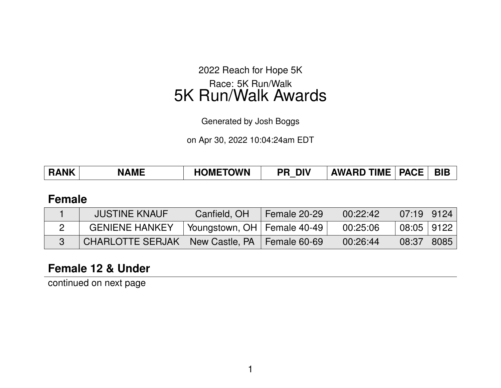2022 Reach for Hope 5K Race: 5K Run/Walk

5K Run/Walk Awards

Generated by Josh Boggs

on Apr 30, 2022 10:04:24am EDT

| <b>AWARD TIME   PACE</b><br><b>HOMETOWN</b><br><b>RANK</b><br><b>DIV</b><br><b>NAME</b><br>PR | <b>BIB</b> |
|-----------------------------------------------------------------------------------------------|------------|
|-----------------------------------------------------------------------------------------------|------------|

### **Female**

| <b>JUSTINE KNAUF</b>                             | Canfield, OH                  | Female 20-29 | 00:22:42 | $07:19$   9124 |  |
|--------------------------------------------------|-------------------------------|--------------|----------|----------------|--|
| <b>GENIENE HANKEY</b>                            | Voungstown, OH   Female 40-49 |              | 00:25:06 | $08:05$   9122 |  |
| CHARLOTTE SERJAK   New Castle, PA   Female 60-69 |                               |              | 00:26:44 | 08:37   8085   |  |

# **Female 12 & Under**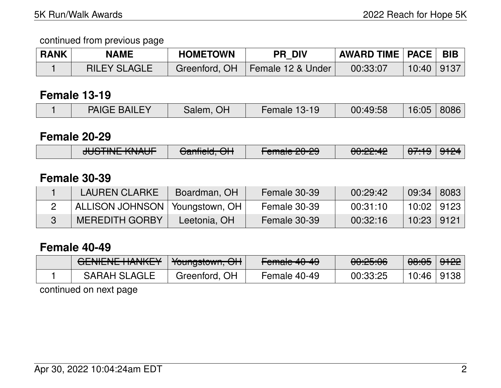### continued from previous page

| <b>RANK</b> | <b>NAME</b>         | <b>HOMETOWN</b> | <b>PR DIV</b>      | <b>AWARD TIME   PACE   BIB</b> |                  |  |
|-------------|---------------------|-----------------|--------------------|--------------------------------|------------------|--|
|             | <b>RILEY SLAGLE</b> | Greenford, OH   | ⊦Female 12 & Under | 00:33:07                       | $10:40$   9137 \ |  |

### **Female 13-19**

### **Female 20-29**

| $I$ II IOTINIE IZNIAI IE<br>$\bigcap_{n=1}^{\infty}$<br><del>JUJINE NIJAUT</del><br><del>Jannelu, Ort</del> | $\Gamma$ amala 00.00.<br><u>ו כווותוכ בט־בט</u> | 0.00000<br><del>UU.ZZ.4Z</del> | $\sqrt{7.4}$<br>$\overline{\mathbf{u}}$ | 9124 |
|-------------------------------------------------------------------------------------------------------------|-------------------------------------------------|--------------------------------|-----------------------------------------|------|
|-------------------------------------------------------------------------------------------------------------|-------------------------------------------------|--------------------------------|-----------------------------------------|------|

## **Female 30-39**

| <b>LAUREN CLARKE</b>             | Boardman, OH | Female 30-39 | 00:29:42 | 09:34        | 8083   |
|----------------------------------|--------------|--------------|----------|--------------|--------|
| ALLISON JOHNSON   Youngstown, OH |              | Female 30-39 | 00:31:10 | 10:02   9123 |        |
| <b>MEREDITH GORBY</b>            | Leetonia, OH | Female 30-39 | 00:32:16 | 10:23        | ∣ 9121 |

### **Female 40-49**

| <u>ULIVILIVE HAIVINET</u> | <b>TUUNGSIUWII, UTT</b> | <del>Fullaic 40-40</del> | $\bigcap \bigcap \bigcap \bigcap \bigcap \bigcap \bigcap$<br><del>uu.co.uu</del> | $\Delta Q$ , $\Delta E$<br><del>00.00</del> | <del>9122</del> |
|---------------------------|-------------------------|--------------------------|----------------------------------------------------------------------------------|---------------------------------------------|-----------------|
| <b>SARAH SLAGLE</b>       | Greenford, OH           | Female 40-49             | 00:33:25                                                                         | 10:46                                       | 9138            |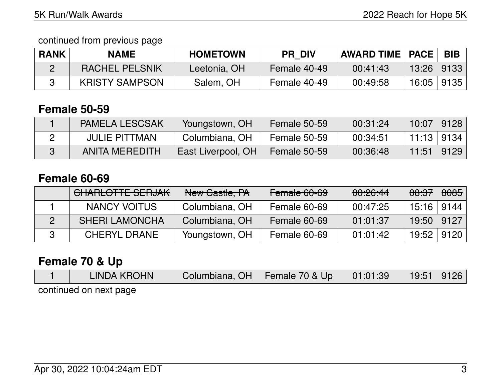### continued from previous page

| <b>RANK</b> | NAME                  | <b>HOMETOWN</b> | <b>PR DIV</b> | AWARD TIME   PACE |       | <b>BIB</b> |
|-------------|-----------------------|-----------------|---------------|-------------------|-------|------------|
|             | <b>RACHEL PELSNIK</b> | Leetonia, OH    | Female 40-49  | 00:41:43          | 13:26 | 9133       |
|             | <b>KRISTY SAMPSON</b> | Salem, OH       | Female 40-49  | 00:49:58          | 16:05 | 9135       |

# **Female 50-59**

| <b>PAMELA LESCSAK</b> | Youngstown, OH     | Female 50-59 | 00:31:24 | $10:07$   9128 |  |
|-----------------------|--------------------|--------------|----------|----------------|--|
| <b>JULIE PITTMAN</b>  | Columbiana, OH     | Female 50-59 | 00:34:51 | 11:13 9134     |  |
| ANITA MEREDITH        | East Liverpool, OH | Female 50-59 | 00:36:48 | 11:51   9129   |  |

## **Female 60-69**

| CHARLOTTE SERJAK      | New Castle, PA | Female 60-69 | 00:26:44 | <del>08:37</del> | 8085 |
|-----------------------|----------------|--------------|----------|------------------|------|
| NANCY VOITUS          | Columbiana, OH | Female 60-69 | 00:47:25 | 15:16   9144     |      |
| <b>SHERI LAMONCHA</b> | Columbiana, OH | Female 60-69 | 01:01:37 | 19:50            | 9127 |
| <b>CHERYL DRANE</b>   | Youngstown, OH | Female 60-69 | 01:01:42 | 19:52            | 9120 |

# **Female 70 & Up**

| LINDA KROHN            | Columbiana, OH   Female 70 & Up $\vert$ | 01:01:39 | $19:51$   9126 |  |
|------------------------|-----------------------------------------|----------|----------------|--|
| continued on next page |                                         |          |                |  |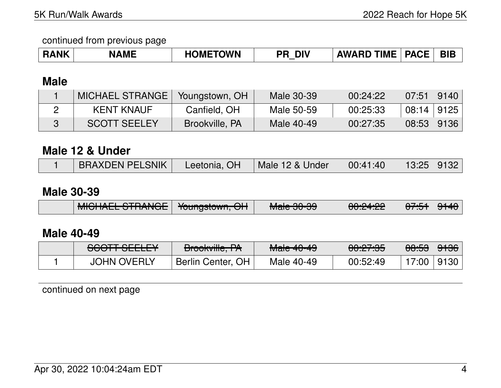continued from previous page

| <b>RANK</b> | <b>NAME</b> | <b>HOMETOWN</b> | DIV<br>ΡR | <b>AWARD</b> | <b>TIME   PACE  </b> | <b>BIE</b> |
|-------------|-------------|-----------------|-----------|--------------|----------------------|------------|
|-------------|-------------|-----------------|-----------|--------------|----------------------|------------|

# **Male**

| <b>MICHAEL STRANGE</b> | Youngstown, OH | Male 30-39 | 00:24:22 | $07:51$   9140 |  |
|------------------------|----------------|------------|----------|----------------|--|
| <b>KENT KNAUF</b>      | Canfield, OH   | Male 50-59 | 00:25:33 | $08:14$   9125 |  |
| <b>SCOTT SEELEY</b>    | Brookville, PA | Male 40-49 | 00:27:35 | 08:53   9136   |  |

### **Male 12 & Under**

|  | <b>BRAXDEN PELSNIK</b> | Leetonia, OH | Male 12 & Under | 00:41:40 | 13:25 9132 |  |
|--|------------------------|--------------|-----------------|----------|------------|--|
|--|------------------------|--------------|-----------------|----------|------------|--|

## **Male 30-39**

|  | MOLIATI CTDANOI<br><u>MIULIALL UTIMINUE</u> | $\frac{1}{2}$<br><del>Toungstown, OH</del> | $M2$ $\sim$ 00 00<br><del>Maic JU-JJ</del> | 0.01.01<br><del>UU.ZT.ZZ</del> | <del>ण .ज</del> | ਹਾਜਾਰ |
|--|---------------------------------------------|--------------------------------------------|--------------------------------------------|--------------------------------|-----------------|-------|
|--|---------------------------------------------|--------------------------------------------|--------------------------------------------|--------------------------------|-----------------|-------|

# **Male 40-49**

| COOTT OFFLEV<br><b>JUUTT JLLLLT</b> | $D_{\text{max}}$<br><del>DIVONVIIIC, TA</del> | $M0$ $40$ $40$<br><del>Maic 40-49</del> | 0.07.05<br><del>UU.Z7.JJ</del> | <del>08:53</del> | <del>9136</del> ∣ |
|-------------------------------------|-----------------------------------------------|-----------------------------------------|--------------------------------|------------------|-------------------|
| <b>JOHN OVERLY</b>                  | Berlin Center, OH                             | Male 40-49                              | 00:52:49                       | 17:00            | 9130              |